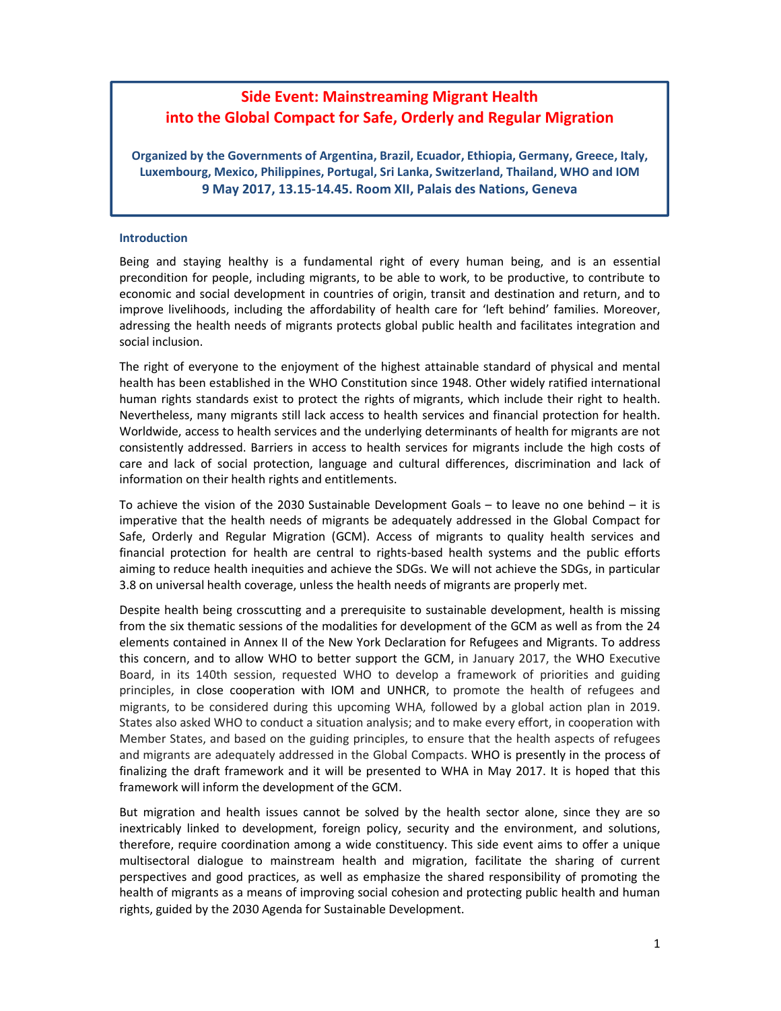## **Side Event: Mainstreaming Migrant Health into the Global Compact for Safe, Orderly and Regular Migration**

**Organized by the Governments of Argentina, Brazil, Ecuador, Ethiopia, Germany, Greece, Italy, Luxembourg, Mexico, Philippines, Portugal, Sri Lanka, Switzerland, Thailand, WHO and IOM 9 May 2017, 13.15-14.45. Room XII, Palais des Nations, Geneva**

## **Introduction**

Being and staying healthy is a fundamental right of every human being, and is an essential precondition for people, including migrants, to be able to work, to be productive, to contribute to economic and social development in countries of origin, transit and destination and return, and to improve livelihoods, including the affordability of health care for 'left behind' families. Moreover, adressing the health needs of migrants protects global public health and facilitates integration and social inclusion.

The right of everyone to the enjoyment of the highest attainable standard of physical and mental health has been established in the WHO Constitution since 1948. Other widely ratified international human rights standards exist to protect the rights of migrants, which include their right to health. Nevertheless, many migrants still lack access to health services and financial protection for health. Worldwide, access to health services and the underlying determinants of health for migrants are not consistently addressed. Barriers in access to health services for migrants include the high costs of care and lack of social protection, language and cultural differences, discrimination and lack of information on their health rights and entitlements.

To achieve the vision of the 2030 Sustainable Development Goals – to leave no one behind – it is imperative that the health needs of migrants be adequately addressed in the Global Compact for Safe, Orderly and Regular Migration (GCM). Access of migrants to quality health services and financial protection for health are central to rights-based health systems and the public efforts aiming to reduce health inequities and achieve the SDGs. We will not achieve the SDGs, in particular 3.8 on universal health coverage, unless the health needs of migrants are properly met.

Despite health being crosscutting and a prerequisite to sustainable development, health is missing from the six thematic sessions of the modalities for development of the GCM as well as from the 24 elements contained in Annex II of the New York Declaration for Refugees and Migrants. To address this concern, and to allow WHO to better support the GCM, in January 2017, the WHO Executive Board, in its 140th session, requested WHO to develop a framework of priorities and guiding principles, in close cooperation with IOM and UNHCR, to promote the health of refugees and migrants, to be considered during this upcoming WHA, followed by a global action plan in 2019. States also asked WHO to conduct a situation analysis; and to make every effort, in cooperation with Member States, and based on the guiding principles, to ensure that the health aspects of refugees and migrants are adequately addressed in the Global Compacts. WHO is presently in the process of finalizing the draft framework and it will be presented to WHA in May 2017. It is hoped that this framework will inform the development of the GCM.

But migration and health issues cannot be solved by the health sector alone, since they are so inextricably linked to development, foreign policy, security and the environment, and solutions, therefore, require coordination among a wide constituency. This side event aims to offer a unique multisectoral dialogue to mainstream health and migration, facilitate the sharing of current perspectives and good practices, as well as emphasize the shared responsibility of promoting the health of migrants as a means of improving social cohesion and protecting public health and human rights, guided by the 2030 Agenda for Sustainable Development.